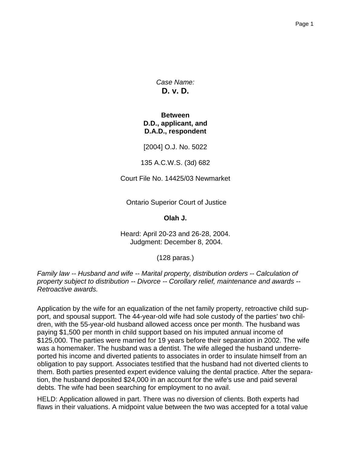*Case Name:* **D. v. D.**

#### **Between D.D., applicant, and D.A.D., respondent**

[2004] O.J. No. 5022

135 A.C.W.S. (3d) 682

Court File No. 14425/03 Newmarket

Ontario Superior Court of Justice

**Olah J.**

Heard: April 20-23 and 26-28, 2004. Judgment: December 8, 2004.

(128 paras.)

*Family law -- Husband and wife -- Marital property, distribution orders -- Calculation of property subject to distribution -- Divorce -- Corollary relief, maintenance and awards -- Retroactive awards.*

Application by the wife for an equalization of the net family property, retroactive child support, and spousal support. The 44-year-old wife had sole custody of the parties' two children, with the 55-year-old husband allowed access once per month. The husband was paying \$1,500 per month in child support based on his imputed annual income of \$125,000. The parties were married for 19 years before their separation in 2002. The wife was a homemaker. The husband was a dentist. The wife alleged the husband underreported his income and diverted patients to associates in order to insulate himself from an obligation to pay support. Associates testified that the husband had not diverted clients to them. Both parties presented expert evidence valuing the dental practice. After the separation, the husband deposited \$24,000 in an account for the wife's use and paid several debts. The wife had been searching for employment to no avail.

HELD: Application allowed in part. There was no diversion of clients. Both experts had flaws in their valuations. A midpoint value between the two was accepted for a total value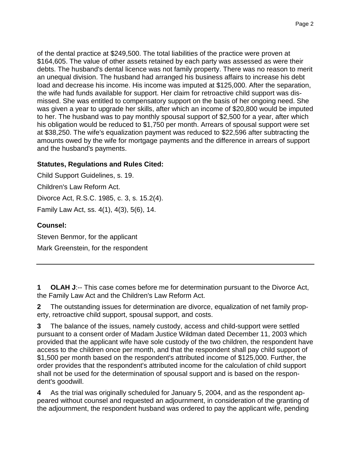of the dental practice at \$249,500. The total liabilities of the practice were proven at \$164,605. The value of other assets retained by each party was assessed as were their debts. The husband's dental licence was not family property. There was no reason to merit an unequal division. The husband had arranged his business affairs to increase his debt load and decrease his income. His income was imputed at \$125,000. After the separation, the wife had funds available for support. Her claim for retroactive child support was dismissed. She was entitled to compensatory support on the basis of her ongoing need. She was given a year to upgrade her skills, after which an income of \$20,800 would be imputed to her. The husband was to pay monthly spousal support of \$2,500 for a year, after which his obligation would be reduced to \$1,750 per month. Arrears of spousal support were set at \$38,250. The wife's equalization payment was reduced to \$22,596 after subtracting the amounts owed by the wife for mortgage payments and the difference in arrears of support and the husband's payments.

### **Statutes, Regulations and Rules Cited:**

Child Support Guidelines, s. 19. Children's Law Reform Act. Divorce Act, R.S.C. 1985, c. 3, s. 15.2(4). Family Law Act, ss. 4(1), 4(3), 5(6), 14.

# **Counsel:**

Steven Benmor, for the applicant

Mark Greenstein, for the respondent

**1 OLAH J**:-- This case comes before me for determination pursuant to the Divorce Act, the Family Law Act and the Children's Law Reform Act.

**2** The outstanding issues for determination are divorce, equalization of net family property, retroactive child support, spousal support, and costs.

**3** The balance of the issues, namely custody, access and child-support were settled pursuant to a consent order of Madam Justice Wildman dated December 11, 2003 which provided that the applicant wife have sole custody of the two children, the respondent have access to the children once per month, and that the respondent shall pay child support of \$1,500 per month based on the respondent's attributed income of \$125,000. Further, the order provides that the respondent's attributed income for the calculation of child support shall not be used for the determination of spousal support and is based on the respondent's goodwill.

**4** As the trial was originally scheduled for January 5, 2004, and as the respondent appeared without counsel and requested an adjournment, in consideration of the granting of the adjournment, the respondent husband was ordered to pay the applicant wife, pending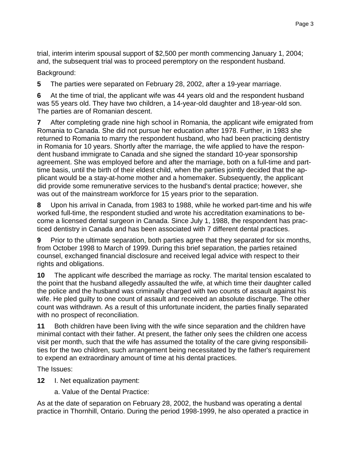trial, interim interim spousal support of \$2,500 per month commencing January 1, 2004; and, the subsequent trial was to proceed peremptory on the respondent husband.

Background:

**5** The parties were separated on February 28, 2002, after a 19-year marriage.

**6** At the time of trial, the applicant wife was 44 years old and the respondent husband was 55 years old. They have two children, a 14-year-old daughter and 18-year-old son. The parties are of Romanian descent.

**7** After completing grade nine high school in Romania, the applicant wife emigrated from Romania to Canada. She did not pursue her education after 1978. Further, in 1983 she returned to Romania to marry the respondent husband, who had been practicing dentistry in Romania for 10 years. Shortly after the marriage, the wife applied to have the respondent husband immigrate to Canada and she signed the standard 10-year sponsorship agreement. She was employed before and after the marriage, both on a full-time and parttime basis, until the birth of their eldest child, when the parties jointly decided that the applicant would be a stay-at-home mother and a homemaker. Subsequently, the applicant did provide some remunerative services to the husband's dental practice; however, she was out of the mainstream workforce for 15 years prior to the separation.

**8** Upon his arrival in Canada, from 1983 to 1988, while he worked part-time and his wife worked full-time, the respondent studied and wrote his accreditation examinations to become a licensed dental surgeon in Canada. Since July 1, 1988, the respondent has practiced dentistry in Canada and has been associated with 7 different dental practices.

**9** Prior to the ultimate separation, both parties agree that they separated for six months, from October 1998 to March of 1999. During this brief separation, the parties retained counsel, exchanged financial disclosure and received legal advice with respect to their rights and obligations.

**10** The applicant wife described the marriage as rocky. The marital tension escalated to the point that the husband allegedly assaulted the wife, at which time their daughter called the police and the husband was criminally charged with two counts of assault against his wife. He pled guilty to one count of assault and received an absolute discharge. The other count was withdrawn. As a result of this unfortunate incident, the parties finally separated with no prospect of reconciliation.

**11** Both children have been living with the wife since separation and the children have minimal contact with their father. At present, the father only sees the children one access visit per month, such that the wife has assumed the totality of the care giving responsibilities for the two children, such arrangement being necessitated by the father's requirement to expend an extraordinary amount of time at his dental practices.

The Issues:

- **12** I. Net equalization payment:
	- a. Value of the Dental Practice:

As at the date of separation on February 28, 2002, the husband was operating a dental practice in Thornhill, Ontario. During the period 1998-1999, he also operated a practice in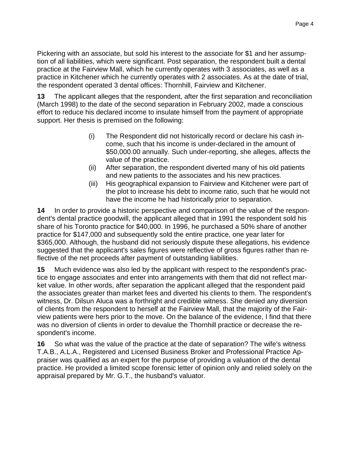Pickering with an associate, but sold his interest to the associate for \$1 and her assumption of all liabilities, which were significant. Post separation, the respondent built a dental practice at the Fairview Mall, which he currently operates with 3 associates, as well as a practice in Kitchener which he currently operates with 2 associates. As at the date of trial, the respondent operated 3 dental offices: Thornhill, Fairview and Kitchener.

**13** The applicant alleges that the respondent, after the first separation and reconciliation (March 1998) to the date of the second separation in February 2002, made a conscious effort to reduce his declared income to insulate himself from the payment of appropriate support. Her thesis is premised on the following:

- (i) The Respondent did not historically record or declare his cash income, such that his income is under-declared in the amount of \$50,000.00 annually. Such under-reporting, she alleges, affects the value of the practice.
- (ii) After separation, the respondent diverted many of his old patients and new patients to the associates and his new practices.
- (iii) His geographical expansion to Fairview and Kitchener were part of the plot to increase his debt to income ratio, such that he would not have the income he had historically prior to separation.

**14** In order to provide a historic perspective and comparison of the value of the respondent's dental practice goodwill, the applicant alleged that in 1991 the respondent sold his share of his Toronto practice for \$40,000. In 1996, he purchased a 50% share of another practice for \$147,000 and subsequently sold the entire practice, one year later for \$365,000. Although, the husband did not seriously dispute these allegations, his evidence suggested that the applicant's sales figures were reflective of gross figures rather than reflective of the net proceeds after payment of outstanding liabilities.

**15** Much evidence was also led by the applicant with respect to the respondent's practice to engage associates and enter into arrangements with them that did not reflect market value. In other words, after separation the applicant alleged that the respondent paid the associates greater than market fees and diverted his clients to them. The respondent's witness, Dr. Dilsun Aluca was a forthright and credible witness. She denied any diversion of clients from the respondent to herself at the Fairview Mall, that the majority of the Fairview patients were hers prior to the move. On the balance of the evidence, I find that there was no diversion of clients in order to devalue the Thornhill practice or decrease the respondent's income.

**16** So what was the value of the practice at the date of separation? The wife's witness T.A.B., A.L.A., Registered and Licensed Business Broker and Professional Practice Appraiser was qualified as an expert for the purpose of providing a valuation of the dental practice. He provided a limited scope forensic letter of opinion only and relied solely on the appraisal prepared by Mr. G.T., the husband's valuator.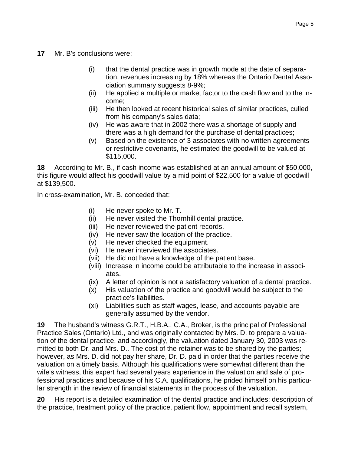- **17** Mr. B's conclusions were:
	- (i) that the dental practice was in growth mode at the date of separation, revenues increasing by 18% whereas the Ontario Dental Association summary suggests 8-9%;
	- (ii) He applied a multiple or market factor to the cash flow and to the income;
	- (iii) He then looked at recent historical sales of similar practices, culled from his company's sales data;
	- (iv) He was aware that in 2002 there was a shortage of supply and there was a high demand for the purchase of dental practices;
	- (v) Based on the existence of 3 associates with no written agreements or restrictive covenants, he estimated the goodwill to be valued at \$115,000.

**18** According to Mr. B., if cash income was established at an annual amount of \$50,000, this figure would affect his goodwill value by a mid point of \$22,500 for a value of goodwill at \$139,500.

In cross-examination, Mr. B. conceded that:

- (i) He never spoke to Mr. T.
- (ii) He never visited the Thornhill dental practice.
- (iii) He never reviewed the patient records.
- (iv) He never saw the location of the practice.
- (v) He never checked the equipment.
- (vi) He never interviewed the associates.
- (vii) He did not have a knowledge of the patient base.
- (viii) Increase in income could be attributable to the increase in associates.
- (ix) A letter of opinion is not a satisfactory valuation of a dental practice.
- (x) His valuation of the practice and goodwill would be subject to the practice's liabilities.
- (xi) Liabilities such as staff wages, lease, and accounts payable are generally assumed by the vendor.

**19** The husband's witness G.R.T., H.B.A., C.A., Broker, is the principal of Professional Practice Sales (Ontario) Ltd., and was originally contacted by Mrs. D. to prepare a valuation of the dental practice, and accordingly, the valuation dated January 30, 2003 was remitted to both Dr. and Mrs. D.. The cost of the retainer was to be shared by the parties; however, as Mrs. D. did not pay her share, Dr. D. paid in order that the parties receive the valuation on a timely basis. Although his qualifications were somewhat different than the wife's witness, this expert had several years experience in the valuation and sale of professional practices and because of his C.A. qualifications, he prided himself on his particular strength in the review of financial statements in the process of the valuation.

**20** His report is a detailed examination of the dental practice and includes: description of the practice, treatment policy of the practice, patient flow, appointment and recall system,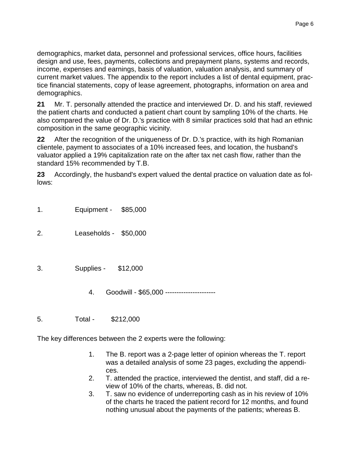**21** Mr. T. personally attended the practice and interviewed Dr. D. and his staff, reviewed the patient charts and conducted a patient chart count by sampling 10% of the charts. He also compared the value of Dr. D.'s practice with 8 similar practices sold that had an ethnic composition in the same geographic vicinity.

**22** After the recognition of the uniqueness of Dr. D.'s practice, with its high Romanian clientele, payment to associates of a 10% increased fees, and location, the husband's valuator applied a 19% capitalization rate on the after tax net cash flow, rather than the standard 15% recommended by T.B.

**23** Accordingly, the husband's expert valued the dental practice on valuation date as follows:

1. Equipment - \$85,000

demographics.

- 2. Leaseholds \$50,000
- 3. Supplies \$12,000
	- 4. Goodwill \$65,000 ----------------------
- 5. Total \$212,000

The key differences between the 2 experts were the following:

- 1. The B. report was a 2-page letter of opinion whereas the T. report was a detailed analysis of some 23 pages, excluding the appendices.
- 2. T. attended the practice, interviewed the dentist, and staff, did a review of 10% of the charts, whereas, B. did not.
- 3. T. saw no evidence of underreporting cash as in his review of 10% of the charts he traced the patient record for 12 months, and found nothing unusual about the payments of the patients; whereas B.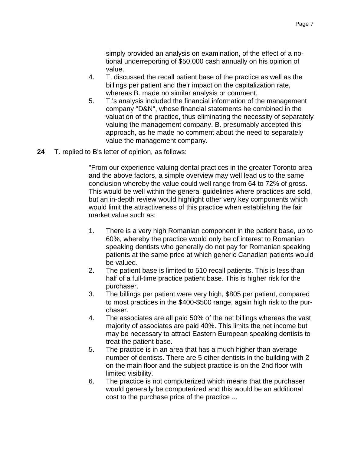simply provided an analysis on examination, of the effect of a notional underreporting of \$50,000 cash annually on his opinion of value.

- 4. T. discussed the recall patient base of the practice as well as the billings per patient and their impact on the capitalization rate, whereas B. made no similar analysis or comment.
- 5. T.'s analysis included the financial information of the management company "D&N", whose financial statements he combined in the valuation of the practice, thus eliminating the necessity of separately valuing the management company. B. presumably accepted this approach, as he made no comment about the need to separately value the management company.
- **24** T. replied to B's letter of opinion, as follows:

"From our experience valuing dental practices in the greater Toronto area and the above factors, a simple overview may well lead us to the same conclusion whereby the value could well range from 64 to 72% of gross. This would be well within the general guidelines where practices are sold, but an in-depth review would highlight other very key components which would limit the attractiveness of this practice when establishing the fair market value such as:

- 1. There is a very high Romanian component in the patient base, up to 60%, whereby the practice would only be of interest to Romanian speaking dentists who generally do not pay for Romanian speaking patients at the same price at which generic Canadian patients would be valued.
- 2. The patient base is limited to 510 recall patients. This is less than half of a full-time practice patient base. This is higher risk for the purchaser.
- 3. The billings per patient were very high, \$805 per patient, compared to most practices in the \$400-\$500 range, again high risk to the purchaser.
- 4. The associates are all paid 50% of the net billings whereas the vast majority of associates are paid 40%. This limits the net income but may be necessary to attract Eastern European speaking dentists to treat the patient base.
- 5. The practice is in an area that has a much higher than average number of dentists. There are 5 other dentists in the building with 2 on the main floor and the subject practice is on the 2nd floor with limited visibility.
- 6. The practice is not computerized which means that the purchaser would generally be computerized and this would be an additional cost to the purchase price of the practice ...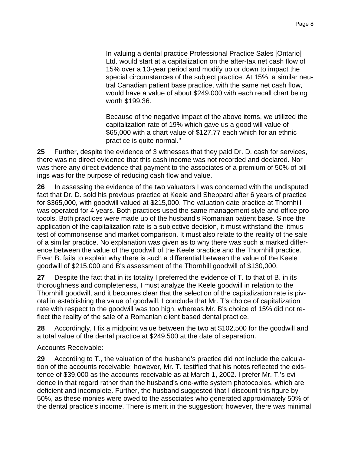In valuing a dental practice Professional Practice Sales [Ontario] Ltd. would start at a capitalization on the after-tax net cash flow of 15% over a 10-year period and modify up or down to impact the special circumstances of the subject practice. At 15%, a similar neutral Canadian patient base practice, with the same net cash flow, would have a value of about \$249,000 with each recall chart being worth \$199.36.

Because of the negative impact of the above items, we utilized the capitalization rate of 19% which gave us a good will value of \$65,000 with a chart value of \$127.77 each which for an ethnic practice is quite normal."

**25** Further, despite the evidence of 3 witnesses that they paid Dr. D. cash for services, there was no direct evidence that this cash income was not recorded and declared. Nor was there any direct evidence that payment to the associates of a premium of 50% of billings was for the purpose of reducing cash flow and value.

**26** In assessing the evidence of the two valuators I was concerned with the undisputed fact that Dr. D. sold his previous practice at Keele and Sheppard after 6 years of practice for \$365,000, with goodwill valued at \$215,000. The valuation date practice at Thornhill was operated for 4 years. Both practices used the same management style and office protocols. Both practices were made up of the husband's Romanian patient base. Since the application of the capitalization rate is a subjective decision, it must withstand the litmus test of commonsense and market comparison. It must also relate to the reality of the sale of a similar practice. No explanation was given as to why there was such a marked difference between the value of the goodwill of the Keele practice and the Thornhill practice. Even B. fails to explain why there is such a differential between the value of the Keele goodwill of \$215,000 and B's assessment of the Thornhill goodwill of \$130,000.

**27** Despite the fact that in its totality I preferred the evidence of T. to that of B. in its thoroughness and completeness, I must analyze the Keele goodwill in relation to the Thornhill goodwill, and it becomes clear that the selection of the capitalization rate is pivotal in establishing the value of goodwill. I conclude that Mr. T's choice of capitalization rate with respect to the goodwill was too high, whereas Mr. B's choice of 15% did not reflect the reality of the sale of a Romanian client based dental practice.

**28** Accordingly, I fix a midpoint value between the two at \$102,500 for the goodwill and a total value of the dental practice at \$249,500 at the date of separation.

Accounts Receivable:

**29** According to T., the valuation of the husband's practice did not include the calculation of the accounts receivable; however, Mr. T. testified that his notes reflected the existence of \$39,000 as the accounts receivable as at March 1, 2002. I prefer Mr. T.'s evidence in that regard rather than the husband's one-write system photocopies, which are deficient and incomplete. Further, the husband suggested that I discount this figure by 50%, as these monies were owed to the associates who generated approximately 50% of the dental practice's income. There is merit in the suggestion; however, there was minimal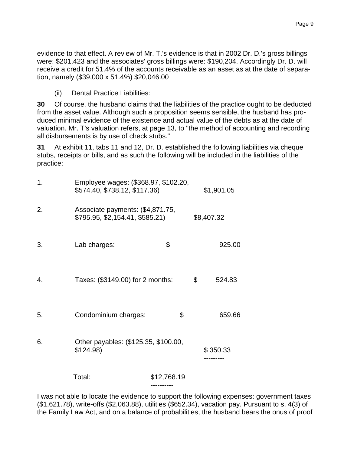evidence to that effect. A review of Mr. T.'s evidence is that in 2002 Dr. D.'s gross billings were: \$201,423 and the associates' gross billings were: \$190,204. Accordingly Dr. D. will receive a credit for 51.4% of the accounts receivable as an asset as at the date of separation, namely (\$39,000 x 51.4%) \$20,046.00

(ii) Dental Practice Liabilities:

**30** Of course, the husband claims that the liabilities of the practice ought to be deducted from the asset value. Although such a proposition seems sensible, the husband has produced minimal evidence of the existence and actual value of the debts as at the date of valuation. Mr. T's valuation refers, at page 13, to "the method of accounting and recording all disbursements is by use of check stubs."

**31** At exhibit 11, tabs 11 and 12, Dr. D. established the following liabilities via cheque stubs, receipts or bills, and as such the following will be included in the liabilities of the practice:

| 1. | Employee wages: (\$368.97, \$102.20,<br>\$574.40, \$738.12, \$117.36) |                          | \$1,901.05 |                       |
|----|-----------------------------------------------------------------------|--------------------------|------------|-----------------------|
| 2. | Associate payments: (\$4,871.75,<br>\$795.95, \$2,154.41, \$585.21)   |                          | \$8,407.32 |                       |
| 3. | Lab charges:                                                          | \$                       |            | 925.00                |
| 4. | Taxes: (\$3149.00) for 2 months:                                      |                          | \$         | 524.83                |
| 5. | Condominium charges:                                                  | \$                       |            | 659.66                |
| 6. | Other payables: (\$125.35, \$100.00,<br>\$124.98                      |                          |            | \$350.33<br>--------- |
|    | Total:                                                                | \$12,768.19<br>--------- |            |                       |

I was not able to locate the evidence to support the following expenses: government taxes (\$1,621.78), write-offs (\$2,063.88), utilities (\$652.34), vacation pay. Pursuant to s. 4(3) of the Family Law Act, and on a balance of probabilities, the husband bears the onus of proof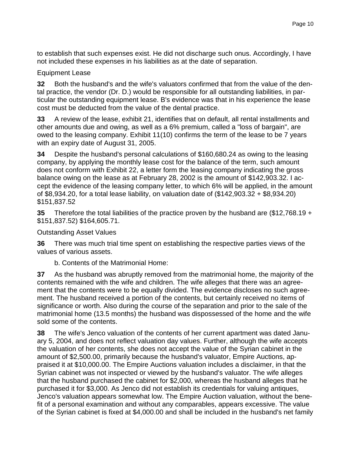to establish that such expenses exist. He did not discharge such onus. Accordingly, I have not included these expenses in his liabilities as at the date of separation.

## Equipment Lease

**32** Both the husband's and the wife's valuators confirmed that from the value of the dental practice, the vendor (Dr. D.) would be responsible for all outstanding liabilities, in particular the outstanding equipment lease. B's evidence was that in his experience the lease cost must be deducted from the value of the dental practice.

**33** A review of the lease, exhibit 21, identifies that on default, all rental installments and other amounts due and owing, as well as a 6% premium, called a "loss of bargain", are owed to the leasing company. Exhibit 11(10) confirms the term of the lease to be 7 years with an expiry date of August 31, 2005.

**34** Despite the husband's personal calculations of \$160,680.24 as owing to the leasing company, by applying the monthly lease cost for the balance of the term, such amount does not conform with Exhibit 22, a letter form the leasing company indicating the gross balance owing on the lease as at February 28, 2002 is the amount of \$142,903.32. I accept the evidence of the leasing company letter, to which 6% will be applied, in the amount of \$8,934.20, for a total lease liability, on valuation date of (\$142,903.32 + \$8,934.20) \$151,837.52

**35** Therefore the total liabilities of the practice proven by the husband are (\$12,768.19 + \$151,837.52) \$164,605.71.

Outstanding Asset Values

**36** There was much trial time spent on establishing the respective parties views of the values of various assets.

b. Contents of the Matrimonial Home:

**37** As the husband was abruptly removed from the matrimonial home, the majority of the contents remained with the wife and children. The wife alleges that there was an agreement that the contents were to be equally divided. The evidence discloses no such agreement. The husband received a portion of the contents, but certainly received no items of significance or worth. Also during the course of the separation and prior to the sale of the matrimonial home (13.5 months) the husband was dispossessed of the home and the wife sold some of the contents.

**38** The wife's Jenco valuation of the contents of her current apartment was dated January 5, 2004, and does not reflect valuation day values. Further, although the wife accepts the valuation of her contents, she does not accept the value of the Syrian cabinet in the amount of \$2,500.00, primarily because the husband's valuator, Empire Auctions, appraised it at \$10,000.00. The Empire Auctions valuation includes a disclaimer, in that the Syrian cabinet was not inspected or viewed by the husband's valuator. The wife alleges that the husband purchased the cabinet for \$2,000, whereas the husband alleges that he purchased it for \$3,000. As Jenco did not establish its credentials for valuing antiques, Jenco's valuation appears somewhat low. The Empire Auction valuation, without the benefit of a personal examination and without any comparables, appears excessive. The value of the Syrian cabinet is fixed at \$4,000.00 and shall be included in the husband's net family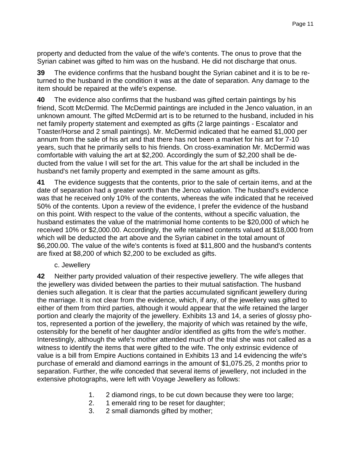property and deducted from the value of the wife's contents. The onus to prove that the Syrian cabinet was gifted to him was on the husband. He did not discharge that onus.

**39** The evidence confirms that the husband bought the Syrian cabinet and it is to be returned to the husband in the condition it was at the date of separation. Any damage to the item should be repaired at the wife's expense.

**40** The evidence also confirms that the husband was gifted certain paintings by his friend, Scott McDermid. The McDermid paintings are included in the Jenco valuation, in an unknown amount. The gifted McDermid art is to be returned to the husband, included in his net family property statement and exempted as gifts (2 large paintings - Escalator and Toaster/Horse and 2 small paintings). Mr. McDermid indicated that he earned \$1,000 per annum from the sale of his art and that there has not been a market for his art for 7-10 years, such that he primarily sells to his friends. On cross-examination Mr. McDermid was comfortable with valuing the art at \$2,200. Accordingly the sum of \$2,200 shall be deducted from the value I will set for the art. This value for the art shall be included in the husband's net family property and exempted in the same amount as gifts.

**41** The evidence suggests that the contents, prior to the sale of certain items, and at the date of separation had a greater worth than the Jenco valuation. The husband's evidence was that he received only 10% of the contents, whereas the wife indicated that he received 50% of the contents. Upon a review of the evidence, I prefer the evidence of the husband on this point. With respect to the value of the contents, without a specific valuation, the husband estimates the value of the matrimonial home contents to be \$20,000 of which he received 10% or \$2,000.00. Accordingly, the wife retained contents valued at \$18,000 from which will be deducted the art above and the Syrian cabinet in the total amount of \$6,200.00. The value of the wife's contents is fixed at \$11,800 and the husband's contents are fixed at \$8,200 of which \$2,200 to be excluded as gifts.

c. Jewellery

**42** Neither party provided valuation of their respective jewellery. The wife alleges that the jewellery was divided between the parties to their mutual satisfaction. The husband denies such allegation. It is clear that the parties accumulated significant jewellery during the marriage. It is not clear from the evidence, which, if any, of the jewellery was gifted to either of them from third parties, although it would appear that the wife retained the larger portion and clearly the majority of the jewellery. Exhibits 13 and 14, a series of glossy photos, represented a portion of the jewellery, the majority of which was retained by the wife, ostensibly for the benefit of her daughter and/or identified as gifts from the wife's mother. Interestingly, although the wife's mother attended much of the trial she was not called as a witness to identify the items that were gifted to the wife. The only extrinsic evidence of value is a bill from Empire Auctions contained in Exhibits 13 and 14 evidencing the wife's purchase of emerald and diamond earrings in the amount of \$1,075.25, 2 months prior to separation. Further, the wife conceded that several items of jewellery, not included in the extensive photographs, were left with Voyage Jewellery as follows:

- 1. 2 diamond rings, to be cut down because they were too large;
- 2. 1 emerald ring to be reset for daughter;
- 3. 2 small diamonds gifted by mother;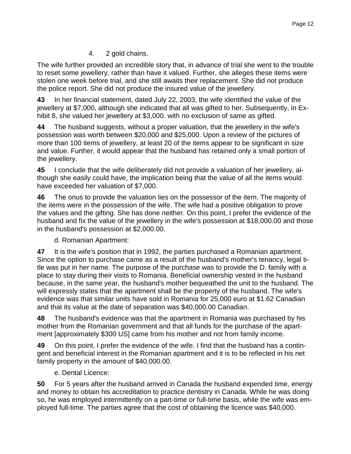# 4. 2 gold chains.

The wife further provided an incredible story that, in advance of trial she went to the trouble to reset some jewellery, rather than have it valued. Further, she alleges these items were stolen one week before trial, and she still awaits their replacement. She did not produce the police report. She did not produce the insured value of the jewellery.

**43** In her financial statement, dated July 22, 2003, the wife identified the value of the jewellery at \$7,000, although she indicated that all was gifted to her. Subsequently, in Exhibit 8, she valued her jewellery at \$3,000. with no exclusion of same as gifted.

**44** The husband suggests, without a proper valuation, that the jewellery in the wife's possession was worth between \$20,000 and \$25,000. Upon a review of the pictures of more than 100 items of jewellery, at least 20 of the items appear to be significant in size and value. Further, it would appear that the husband has retained only a small portion of the jewellery.

**45** I conclude that the wife deliberately did not provide a valuation of her jewellery, although she easily could have, the implication being that the value of all the items would have exceeded her valuation of \$7,000.

**46** The onus to provide the valuation lies on the possessor of the item. The majority of the items were in the possession of the wife. The wife had a positive obligation to prove the values and the gifting. She has done neither. On this point, I prefer the evidence of the husband and fix the value of the jewellery in the wife's possession at \$18,000.00 and those in the husband's possession at \$2,000.00.

d. Romanian Apartment:

**47** It is the wife's position that in 1992, the parties purchased a Romanian apartment. Since the option to purchase came as a result of the husband's mother's tenancy, legal title was put in her name. The purpose of the purchase was to provide the D. family with a place to stay during their visits to Romania. Beneficial ownership vested in the husband because, in the same year, the husband's mother bequeathed the unit to the husband. The will expressly states that the apartment shall be the property of the husband. The wife's evidence was that similar units have sold in Romania for 25,000 euro at \$1.62 Canadian and that its value at the date of separation was \$40,000.00 Canadian.

**48** The husband's evidence was that the apartment in Romania was purchased by his mother from the Romanian government and that all funds for the purchase of the apartment [approximately \$300 US] came from his mother and not from family income.

**49** On this point, I prefer the evidence of the wife. I find that the husband has a contingent and beneficial interest in the Romanian apartment and it is to be reflected in his net family property in the amount of \$40,000.00.

e. Dental Licence:

**50** For 5 years after the husband arrived in Canada the husband expended time, energy and money to obtain his accreditation to practice dentistry in Canada. While he was doing so, he was employed intermittently on a part-time or full-time basis, while the wife was employed full-time. The parties agree that the cost of obtaining the licence was \$40,000.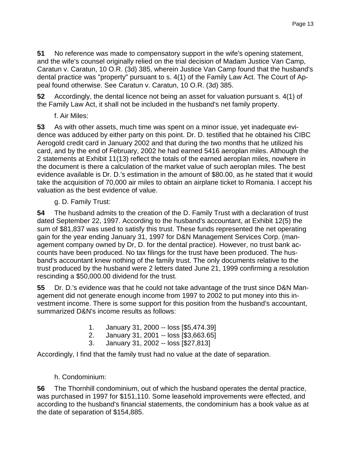**51** No reference was made to compensatory support in the wife's opening statement, and the wife's counsel originally relied on the trial decision of Madam Justice Van Camp, Caratun v. Caratun, 10 O.R. (3d) 385, wherein Justice Van Camp found that the husband's dental practice was "property" pursuant to s. 4(1) of the Family Law Act. The Court of Appeal found otherwise. See Caratun v. Caratun, 10 O.R. (3d) 385.

**52** Accordingly, the dental licence not being an asset for valuation pursuant s. 4(1) of the Family Law Act, it shall not be included in the husband's net family property.

f. Air Miles:

**53** As with other assets, much time was spent on a minor issue, yet inadequate evidence was adduced by either party on this point. Dr. D. testified that he obtained his CIBC Aerogold credit card in January 2002 and that during the two months that he utilized his card, and by the end of February, 2002 he had earned 5416 aeroplan miles. Although the 2 statements at Exhibit 11(13) reflect the totals of the earned aeroplan miles, nowhere in the document is there a calculation of the market value of such aeroplan miles. The best evidence available is Dr. D.'s estimation in the amount of \$80.00, as he stated that it would take the acquisition of 70,000 air miles to obtain an airplane ticket to Romania. I accept his valuation as the best evidence of value.

g. D. Family Trust:

**54** The husband admits to the creation of the D. Family Trust with a declaration of trust dated September 22, 1997. According to the husband's accountant, at Exhibit 12(5) the sum of \$81,837 was used to satisfy this trust. These funds represented the net operating gain for the year ending January 31, 1997 for D&N Management Services Corp. (management company owned by Dr, D. for the dental practice). However, no trust bank accounts have been produced. No tax filings for the trust have been produced. The husband's accountant knew nothing of the family trust. The only documents relative to the trust produced by the husband were 2 letters dated June 21, 1999 confirming a resolution rescinding a \$50,000.00 dividend for the trust.

**55** Dr. D.'s evidence was that he could not take advantage of the trust since D&N Management did not generate enough income from 1997 to 2002 to put money into this investment income. There is some support for this position from the husband's accountant, summarized D&N's income results as follows:

- 1. January 31, 2000 -- loss [\$5,474.39]
- 2. January 31, 2001 -- loss [\$3,663.65]
- 3. January 31, 2002 -- loss [\$27,813]

Accordingly, I find that the family trust had no value at the date of separation.

# h. Condominium:

**56** The Thornhill condominium, out of which the husband operates the dental practice, was purchased in 1997 for \$151,110. Some leasehold improvements were effected, and according to the husband's financial statements, the condominium has a book value as at the date of separation of \$154,885.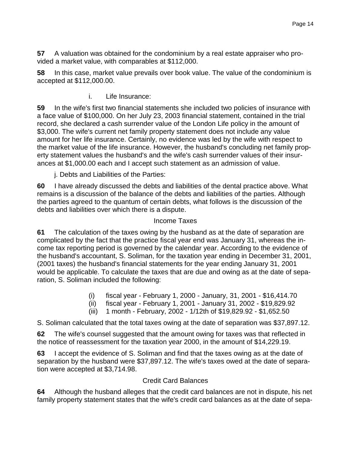**57** A valuation was obtained for the condominium by a real estate appraiser who provided a market value, with comparables at \$112,000.

**58** In this case, market value prevails over book value. The value of the condominium is accepted at \$112,000.00.

i. Life Insurance:

**59** In the wife's first two financial statements she included two policies of insurance with a face value of \$100,000. On her July 23, 2003 financial statement, contained in the trial record, she declared a cash surrender value of the London Life policy in the amount of \$3,000. The wife's current net family property statement does not include any value amount for her life insurance. Certainly, no evidence was led by the wife with respect to the market value of the life insurance. However, the husband's concluding net family property statement values the husband's and the wife's cash surrender values of their insurances at \$1,000.00 each and I accept such statement as an admission of value.

j. Debts and Liabilities of the Parties:

**60** I have already discussed the debts and liabilities of the dental practice above. What remains is a discussion of the balance of the debts and liabilities of the parties. Although the parties agreed to the quantum of certain debts, what follows is the discussion of the debts and liabilities over which there is a dispute.

### Income Taxes

**61** The calculation of the taxes owing by the husband as at the date of separation are complicated by the fact that the practice fiscal year end was January 31, whereas the income tax reporting period is governed by the calendar year. According to the evidence of the husband's accountant, S. Soliman, for the taxation year ending in December 31, 2001, (2001 taxes) the husband's financial statements for the year ending January 31, 2001 would be applicable. To calculate the taxes that are due and owing as at the date of separation, S. Soliman included the following:

- (i) fiscal year February 1, 2000 January, 31, 2001 \$16,414.70
- (ii) fiscal year February 1, 2001 January 31, 2002 \$19,829.92
- (iii) 1 month February, 2002 1/12th of \$19,829.92 \$1,652.50

S. Soliman calculated that the total taxes owing at the date of separation was \$37,897.12.

**62** The wife's counsel suggested that the amount owing for taxes was that reflected in the notice of reassessment for the taxation year 2000, in the amount of \$14,229.19.

**63** I accept the evidence of S. Soliman and find that the taxes owing as at the date of separation by the husband were \$37,897.12. The wife's taxes owed at the date of separation were accepted at \$3,714.98.

# Credit Card Balances

**64** Although the husband alleges that the credit card balances are not in dispute, his net family property statement states that the wife's credit card balances as at the date of sepa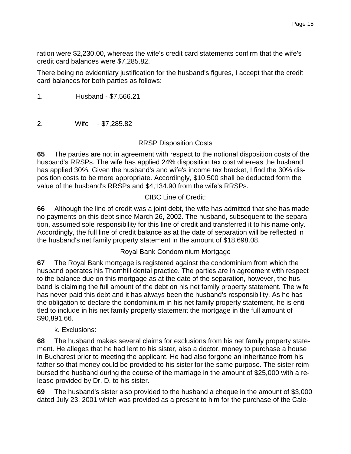ration were \$2,230.00, whereas the wife's credit card statements confirm that the wife's credit card balances were \$7,285.82.

There being no evidentiary justification for the husband's figures, I accept that the credit card balances for both parties as follows:

1. Husband - \$7,566.21

2. Wife - \$7,285.82

# RRSP Disposition Costs

**65** The parties are not in agreement with respect to the notional disposition costs of the husband's RRSPs. The wife has applied 24% disposition tax cost whereas the husband has applied 30%. Given the husband's and wife's income tax bracket, I find the 30% disposition costs to be more appropriate. Accordingly, \$10,500 shall be deducted form the value of the husband's RRSPs and \$4,134.90 from the wife's RRSPs.

### CIBC Line of Credit:

**66** Although the line of credit was a joint debt, the wife has admitted that she has made no payments on this debt since March 26, 2002. The husband, subsequent to the separation, assumed sole responsibility for this line of credit and transferred it to his name only. Accordingly, the full line of credit balance as at the date of separation will be reflected in the husband's net family property statement in the amount of \$18,698.08.

### Royal Bank Condominium Mortgage

**67** The Royal Bank mortgage is registered against the condominium from which the husband operates his Thornhill dental practice. The parties are in agreement with respect to the balance due on this mortgage as at the date of the separation, however, the husband is claiming the full amount of the debt on his net family property statement. The wife has never paid this debt and it has always been the husband's responsibility. As he has the obligation to declare the condominium in his net family property statement, he is entitled to include in his net family property statement the mortgage in the full amount of \$90,891.66.

# k. Exclusions:

**68** The husband makes several claims for exclusions from his net family property statement. He alleges that he had lent to his sister, also a doctor, money to purchase a house in Bucharest prior to meeting the applicant. He had also forgone an inheritance from his father so that money could be provided to his sister for the same purpose. The sister reimbursed the husband during the course of the marriage in the amount of \$25,000 with a release provided by Dr. D. to his sister.

**69** The husband's sister also provided to the husband a cheque in the amount of \$3,000 dated July 23, 2001 which was provided as a present to him for the purchase of the Cale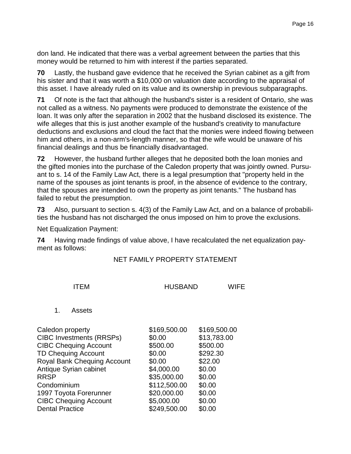don land. He indicated that there was a verbal agreement between the parties that this money would be returned to him with interest if the parties separated.

**70** Lastly, the husband gave evidence that he received the Syrian cabinet as a gift from his sister and that it was worth a \$10,000 on valuation date according to the appraisal of this asset. I have already ruled on its value and its ownership in previous subparagraphs.

**71** Of note is the fact that although the husband's sister is a resident of Ontario, she was not called as a witness. No payments were produced to demonstrate the existence of the loan. It was only after the separation in 2002 that the husband disclosed its existence. The wife alleges that this is just another example of the husband's creativity to manufacture deductions and exclusions and cloud the fact that the monies were indeed flowing between him and others, in a non-arm's-length manner, so that the wife would be unaware of his financial dealings and thus be financially disadvantaged.

**72** However, the husband further alleges that he deposited both the loan monies and the gifted monies into the purchase of the Caledon property that was jointly owned. Pursuant to s. 14 of the Family Law Act, there is a legal presumption that "property held in the name of the spouses as joint tenants is proof, in the absence of evidence to the contrary, that the spouses are intended to own the property as joint tenants." The husband has failed to rebut the presumption.

**73** Also, pursuant to section s. 4(3) of the Family Law Act, and on a balance of probabilities the husband has not discharged the onus imposed on him to prove the exclusions.

Net Equalization Payment:

**74** Having made findings of value above, I have recalculated the net equalization payment as follows:

#### NET FAMILY PROPERTY STATEMENT

| <b>ITFM</b> | <b>HUSBAND</b> | <b>WIFE</b> |
|-------------|----------------|-------------|
|             |                |             |

#### 1. Assets

| Caledon property                   | \$169,500.00 | \$169,500.00 |
|------------------------------------|--------------|--------------|
| <b>CIBC Investments (RRSPs)</b>    | \$0.00       | \$13,783.00  |
| <b>CIBC Chequing Account</b>       | \$500.00     | \$500.00     |
| <b>TD Chequing Account</b>         | \$0.00       | \$292.30     |
| <b>Royal Bank Chequing Account</b> | \$0.00       | \$22.00      |
| Antique Syrian cabinet             | \$4,000.00   | \$0.00       |
| <b>RRSP</b>                        | \$35,000.00  | \$0.00       |
| Condominium                        | \$112,500.00 | \$0.00       |
| 1997 Toyota Forerunner             | \$20,000.00  | \$0.00       |
| <b>CIBC Chequing Account</b>       | \$5,000.00   | \$0.00       |
| <b>Dental Practice</b>             | \$249,500.00 | \$0.00       |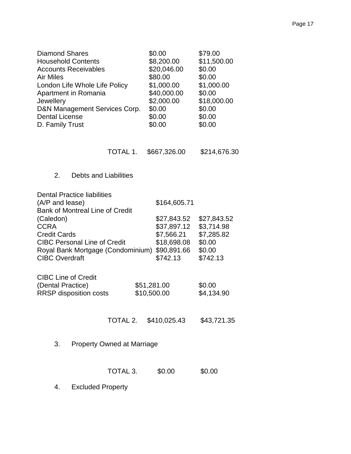| <b>Diamond Shares</b><br><b>Household Contents</b><br><b>Accounts Receivables</b><br><b>Air Miles</b><br>London Life Whole Life Policy<br>Apartment in Romania<br><b>Jewellery</b><br>D&N Management Services Corp.<br><b>Dental License</b><br>D. Family Trust |          | \$0.00<br>\$8,200.00<br>\$20,046.00<br>\$80.00<br>\$1,000.00<br>\$40,000.00<br>\$2,000.00<br>\$0.00<br>\$0.00<br>\$0.00 | \$79.00<br>\$11,500.00<br>\$0.00<br>\$0.00<br>\$1,000.00<br>\$0.00<br>\$18,000.00<br>\$0.00<br>\$0.00<br>\$0.00 |  |  |  |
|-----------------------------------------------------------------------------------------------------------------------------------------------------------------------------------------------------------------------------------------------------------------|----------|-------------------------------------------------------------------------------------------------------------------------|-----------------------------------------------------------------------------------------------------------------|--|--|--|
|                                                                                                                                                                                                                                                                 | TOTAL 1. | \$667,326.00                                                                                                            | \$214,676.30                                                                                                    |  |  |  |
| 2.<br><b>Debts and Liabilities</b>                                                                                                                                                                                                                              |          |                                                                                                                         |                                                                                                                 |  |  |  |
| <b>Dental Practice liabilities</b><br>(A/P and lease)<br><b>Bank of Montreal Line of Credit</b><br>(Caledon)<br><b>CCRA</b><br><b>Credit Cards</b><br><b>CIBC Personal Line of Credit</b><br>Royal Bank Mortgage (Condominium)<br><b>CIBC Overdraft</b>         |          | \$164,605.71<br>\$27,843.52<br>\$37,897.12<br>\$7,566.21<br>\$18,698.08<br>\$90,891.66<br>\$742.13                      | \$27,843.52<br>\$3,714.98<br>\$7,285.82<br>\$0.00<br>\$0.00<br>\$742.13                                         |  |  |  |
| <b>CIBC Line of Credit</b><br>(Dental Practice)<br><b>RRSP</b> disposition costs                                                                                                                                                                                |          | \$51,281.00<br>\$10,500.00                                                                                              | \$0.00<br>\$4,134.90                                                                                            |  |  |  |
|                                                                                                                                                                                                                                                                 |          | TOTAL 2. \$410,025.43                                                                                                   | \$43,721.35                                                                                                     |  |  |  |
| 3.<br><b>Property Owned at Marriage</b>                                                                                                                                                                                                                         |          |                                                                                                                         |                                                                                                                 |  |  |  |
|                                                                                                                                                                                                                                                                 | TOTAL 3. | \$0.00                                                                                                                  | \$0.00                                                                                                          |  |  |  |

4. Excluded Property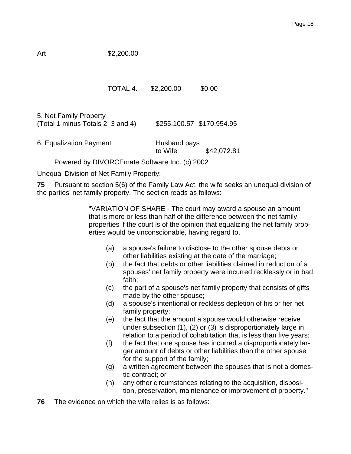# Art \$2,200.00

### TOTAL 4. \$2,200.00 \$0.00

5. Net Family Property (Total 1 minus Totals 2, 3 and 4) \$255,100.57 \$170,954.95

6. Equalization Payment Husband pays to Wife \$42,072.81

Powered by DIVORCEmate Software Inc. (c) 2002

Unequal Division of Net Family Property:

**75** Pursuant to section 5(6) of the Family Law Act, the wife seeks an unequal division of the parties' net family property. The section reads as follows:

> "VARIATION OF SHARE - The court may award a spouse an amount that is more or less than half of the difference between the net family properties if the court is of the opinion that equalizing the net family properties would be unconscionable, having regard to,

- (a) a spouse's failure to disclose to the other spouse debts or other liabilities existing at the date of the marriage;
- (b) the fact that debts or other liabilities claimed in reduction of a spouses' net family property were incurred recklessly or in bad faith;
- (c) the part of a spouse's net family property that consists of gifts made by the other spouse;
- (d) a spouse's intentional or reckless depletion of his or her net family property;
- (e) the fact that the amount a spouse would otherwise receive under subsection (1), (2) or (3) is disproportionately large in relation to a period of cohabitation that is less than five years;
- (f) the fact that one spouse has incurred a disproportionately larger amount of debts or other liabilities than the other spouse for the support of the family;
- (g) a written agreement between the spouses that is not a domestic contract; or
- (h) any other circumstances relating to the acquisition, disposition, preservation, maintenance or improvement of property."
- **76** The evidence on which the wife relies is as follows: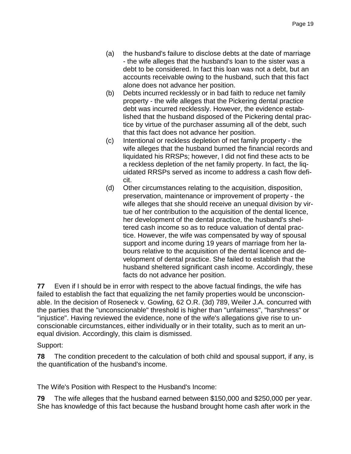- (a) the husband's failure to disclose debts at the date of marriage - the wife alleges that the husband's loan to the sister was a debt to be considered. In fact this loan was not a debt, but an accounts receivable owing to the husband, such that this fact alone does not advance her position.
- (b) Debts incurred recklessly or in bad faith to reduce net family property - the wife alleges that the Pickering dental practice debt was incurred recklessly. However, the evidence established that the husband disposed of the Pickering dental practice by virtue of the purchaser assuming all of the debt, such that this fact does not advance her position.
- (c) Intentional or reckless depletion of net family property the wife alleges that the husband burned the financial records and liquidated his RRSPs; however, I did not find these acts to be a reckless depletion of the net family property. In fact, the liquidated RRSPs served as income to address a cash flow deficit.
- (d) Other circumstances relating to the acquisition, disposition, preservation, maintenance or improvement of property - the wife alleges that she should receive an unequal division by virtue of her contribution to the acquisition of the dental licence, her development of the dental practice, the husband's sheltered cash income so as to reduce valuation of dental practice. However, the wife was compensated by way of spousal support and income during 19 years of marriage from her labours relative to the acquisition of the dental licence and development of dental practice. She failed to establish that the husband sheltered significant cash income. Accordingly, these facts do not advance her position.

**77** Even if I should be in error with respect to the above factual findings, the wife has failed to establish the fact that equalizing the net family properties would be unconscionable. In the decision of Roseneck v. Gowling, 62 O.R. (3d) 789, Weiler J.A. concurred with the parties that the "unconscionable" threshold is higher than "unfairness", "harshness" or "injustice". Having reviewed the evidence, none of the wife's allegations give rise to unconscionable circumstances, either individually or in their totality, such as to merit an unequal division. Accordingly, this claim is dismissed.

# Support:

**78** The condition precedent to the calculation of both child and spousal support, if any, is the quantification of the husband's income.

The Wife's Position with Respect to the Husband's Income:

**79** The wife alleges that the husband earned between \$150,000 and \$250,000 per year. She has knowledge of this fact because the husband brought home cash after work in the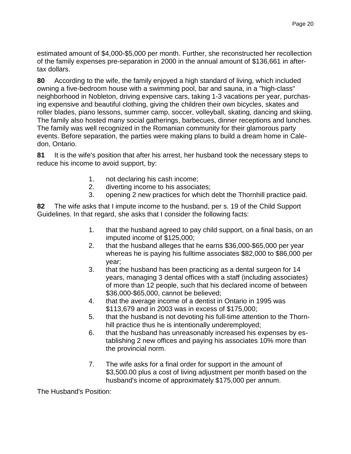estimated amount of \$4,000-\$5,000 per month. Further, she reconstructed her recollection of the family expenses pre-separation in 2000 in the annual amount of \$136,661 in aftertax dollars.

**80** According to the wife, the family enjoyed a high standard of living, which included owning a five-bedroom house with a swimming pool, bar and sauna, in a "high-class" neighborhood in Nobleton, driving expensive cars, taking 1-3 vacations per year, purchasing expensive and beautiful clothing, giving the children their own bicycles, skates and roller blades, piano lessons, summer camp, soccer, volleyball, skating, dancing and skiing. The family also hosted many social gatherings, barbecues, dinner receptions and lunches. The family was well recognized in the Romanian community for their glamorous party events. Before separation, the parties were making plans to build a dream home in Caledon, Ontario.

**81** It is the wife's position that after his arrest, her husband took the necessary steps to reduce his income to avoid support, by:

- 1. not declaring his cash income;
- 2. diverting income to his associates;
- 3. opening 2 new practices for which debt the Thornhill practice paid.

**82** The wife asks that I impute income to the husband, per s. 19 of the Child Support Guidelines. In that regard, she asks that I consider the following facts:

- 1. that the husband agreed to pay child support, on a final basis, on an imputed income of \$125,000;
- 2. that the husband alleges that he earns \$36,000-\$65,000 per year whereas he is paying his fulltime associates \$82,000 to \$86,000 per year;
- 3. that the husband has been practicing as a dental surgeon for 14 years, managing 3 dental offices with a staff (including associates) of more than 12 people, such that his declared income of between \$36,000-\$65,000, cannot be believed;
- 4. that the average income of a dentist in Ontario in 1995 was \$113,679 and in 2003 was in excess of \$175,000;
- 5. that the husband is not devoting his full-time attention to the Thornhill practice thus he is intentionally underemployed;
- 6. that the husband has unreasonably increased his expenses by establishing 2 new offices and paying his associates 10% more than the provincial norm.
- 7. The wife asks for a final order for support in the amount of \$3,500.00 plus a cost of living adjustment per month based on the husband's income of approximately \$175,000 per annum.

The Husband's Position: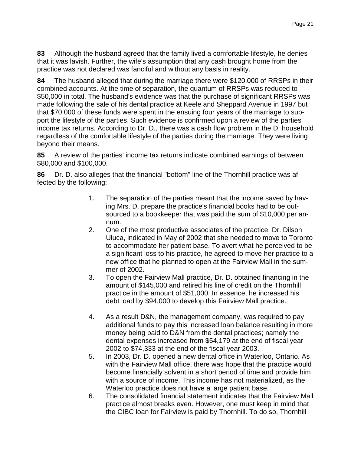**83** Although the husband agreed that the family lived a comfortable lifestyle, he denies that it was lavish. Further, the wife's assumption that any cash brought home from the practice was not declared was fanciful and without any basis in reality.

**84** The husband alleged that during the marriage there were \$120,000 of RRSPs in their combined accounts. At the time of separation, the quantum of RRSPs was reduced to \$50,000 in total. The husband's evidence was that the purchase of significant RRSPs was made following the sale of his dental practice at Keele and Sheppard Avenue in 1997 but that \$70,000 of these funds were spent in the ensuing four years of the marriage to support the lifestyle of the parties. Such evidence is confirmed upon a review of the parties' income tax returns. According to Dr. D., there was a cash flow problem in the D. household regardless of the comfortable lifestyle of the parties during the marriage. They were living beyond their means.

**85** A review of the parties' income tax returns indicate combined earnings of between \$80,000 and \$100,000.

**86** Dr. D. also alleges that the financial "bottom" line of the Thornhill practice was affected by the following:

- 1. The separation of the parties meant that the income saved by having Mrs. D. prepare the practice's financial books had to be outsourced to a bookkeeper that was paid the sum of \$10,000 per annum.
- 2. One of the most productive associates of the practice, Dr. Dilson Uluca, indicated in May of 2002 that she needed to move to Toronto to accommodate her patient base. To avert what he perceived to be a significant loss to his practice, he agreed to move her practice to a new office that he planned to open at the Fairview Mall in the summer of 2002.
- 3. To open the Fairview Mall practice, Dr. D. obtained financing in the amount of \$145,000 and retired his line of credit on the Thornhill practice in the amount of \$51,000. In essence, he increased his debt load by \$94,000 to develop this Fairview Mall practice.
- 4. As a result D&N, the management company, was required to pay additional funds to pay this increased loan balance resulting in more money being paid to D&N from the dental practices; namely the dental expenses increased from \$54,179 at the end of fiscal year 2002 to \$74,333 at the end of the fiscal year 2003.
- 5. In 2003, Dr. D. opened a new dental office in Waterloo, Ontario. As with the Fairview Mall office, there was hope that the practice would become financially solvent in a short period of time and provide him with a source of income. This income has not materialized, as the Waterloo practice does not have a large patient base.
- 6. The consolidated financial statement indicates that the Fairview Mall practice almost breaks even. However, one must keep in mind that the CIBC loan for Fairview is paid by Thornhill. To do so, Thornhill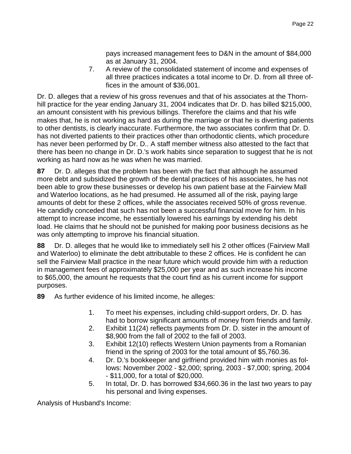pays increased management fees to D&N in the amount of \$84,000 as at January 31, 2004.

7. A review of the consolidated statement of income and expenses of all three practices indicates a total income to Dr. D. from all three offices in the amount of \$36,001.

Dr. D. alleges that a review of his gross revenues and that of his associates at the Thornhill practice for the year ending January 31, 2004 indicates that Dr. D. has billed \$215,000, an amount consistent with his previous billings. Therefore the claims and that his wife makes that, he is not working as hard as during the marriage or that he is diverting patients to other dentists, is clearly inaccurate. Furthermore, the two associates confirm that Dr. D. has not diverted patients to their practices other than orthodontic clients, which procedure has never been performed by Dr. D.. A staff member witness also attested to the fact that there has been no change in Dr. D.'s work habits since separation to suggest that he is not working as hard now as he was when he was married.

**87** Dr. D. alleges that the problem has been with the fact that although he assumed more debt and subsidized the growth of the dental practices of his associates, he has not been able to grow these businesses or develop his own patient base at the Fairview Mall and Waterloo locations, as he had presumed. He assumed all of the risk, paying large amounts of debt for these 2 offices, while the associates received 50% of gross revenue. He candidly conceded that such has not been a successful financial move for him. In his attempt to increase income, he essentially lowered his earnings by extending his debt load. He claims that he should not be punished for making poor business decisions as he was only attempting to improve his financial situation.

**88** Dr. D. alleges that he would like to immediately sell his 2 other offices (Fairview Mall and Waterloo) to eliminate the debt attributable to these 2 offices. He is confident he can sell the Fairview Mall practice in the near future which would provide him with a reduction in management fees of approximately \$25,000 per year and as such increase his income to \$65,000, the amount he requests that the court find as his current income for support purposes.

**89** As further evidence of his limited income, he alleges:

- 1. To meet his expenses, including child-support orders, Dr. D. has had to borrow significant amounts of money from friends and family.
- 2. Exhibit 11(24) reflects payments from Dr. D. sister in the amount of \$8,900 from the fall of 2002 to the fall of 2003.
- 3. Exhibit 12(10) reflects Western Union payments from a Romanian friend in the spring of 2003 for the total amount of \$5,760.36.
- 4. Dr. D.'s bookkeeper and girlfriend provided him with monies as follows: November 2002 - \$2,000; spring, 2003 - \$7,000; spring, 2004 - \$11,000, for a total of \$20,000.
- 5. In total, Dr. D. has borrowed \$34,660.36 in the last two years to pay his personal and living expenses.

Analysis of Husband's Income: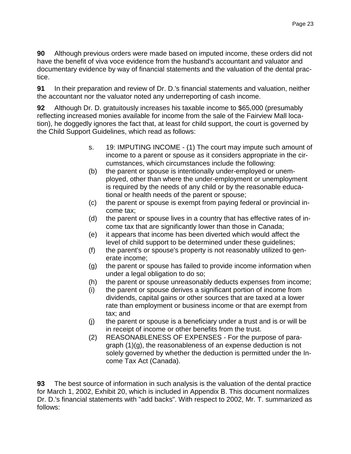**90** Although previous orders were made based on imputed income, these orders did not have the benefit of viva voce evidence from the husband's accountant and valuator and documentary evidence by way of financial statements and the valuation of the dental practice.

**91** In their preparation and review of Dr. D.'s financial statements and valuation, neither the accountant nor the valuator noted any underreporting of cash income.

**92** Although Dr. D. gratuitously increases his taxable income to \$65,000 (presumably reflecting increased monies available for income from the sale of the Fairview Mall location), he doggedly ignores the fact that, at least for child support, the court is governed by the Child Support Guidelines, which read as follows:

- s. 19: IMPUTING INCOME (1) The court may impute such amount of income to a parent or spouse as it considers appropriate in the circumstances, which circumstances include the following:
- (b) the parent or spouse is intentionally under-employed or unemployed, other than where the under-employment or unemployment is required by the needs of any child or by the reasonable educational or health needs of the parent or spouse;
- (c) the parent or spouse is exempt from paying federal or provincial income tax;
- (d) the parent or spouse lives in a country that has effective rates of income tax that are significantly lower than those in Canada;
- (e) it appears that income has been diverted which would affect the level of child support to be determined under these guidelines;
- (f) the parent's or spouse's property is not reasonably utilized to generate income;
- (g) the parent or spouse has failed to provide income information when under a legal obligation to do so;
- (h) the parent or spouse unreasonably deducts expenses from income;
- (i) the parent or spouse derives a significant portion of income from dividends, capital gains or other sources that are taxed at a lower rate than employment or business income or that are exempt from tax; and
- (j) the parent or spouse is a beneficiary under a trust and is or will be in receipt of income or other benefits from the trust.
- (2) REASONABLENESS OF EXPENSES For the purpose of paragraph (1)(g), the reasonableness of an expense deduction is not solely governed by whether the deduction is permitted under the Income Tax Act (Canada).

**93** The best source of information in such analysis is the valuation of the dental practice for March 1, 2002, Exhibit 20, which is included in Appendix B. This document normalizes Dr. D.'s financial statements with "add backs". With respect to 2002, Mr. T. summarized as follows: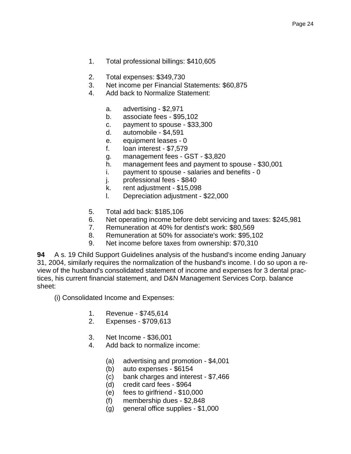- 1. Total professional billings: \$410,605
- 2. Total expenses: \$349,730
- 3. Net income per Financial Statements: \$60,875
- 4. Add back to Normalize Statement:
	- a. advertising \$2,971
	- b. associate fees \$95,102
	- c. payment to spouse \$33,300
	- d. automobile \$4,591
	- e. equipment leases 0
	- f. loan interest \$7,579
	- g. management fees GST \$3,820
	- h. management fees and payment to spouse \$30,001
	- i. payment to spouse salaries and benefits 0
	- j. professional fees \$840
	- k. rent adjustment \$15,098
	- l. Depreciation adjustment \$22,000
- 5. Total add back: \$185,106
- 6. Net operating income before debt servicing and taxes: \$245,981
- 7. Remuneration at 40% for dentist's work: \$80,569
- 8. Remuneration at 50% for associate's work: \$95,102
- 9. Net income before taxes from ownership: \$70,310

**94** A s. 19 Child Support Guidelines analysis of the husband's income ending January 31, 2004, similarly requires the normalization of the husband's income. I do so upon a review of the husband's consolidated statement of income and expenses for 3 dental practices, his current financial statement, and D&N Management Services Corp. balance sheet:

- (i) Consolidated Income and Expenses:
	- 1. Revenue \$745,614
	- 2. Expenses \$709,613
	- 3. Net Income \$36,001
	- 4. Add back to normalize income:
		- (a) advertising and promotion \$4,001
		- (b) auto expenses \$6154
		- (c) bank charges and interest \$7,466
		- (d) credit card fees \$964
		- (e) fees to girlfriend \$10,000
		- (f) membership dues \$2,848
		- (g) general office supplies \$1,000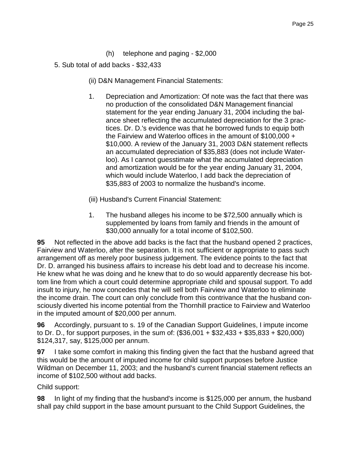- (h) telephone and paging \$2,000
- 5. Sub total of add backs \$32,433
	- (ii) D&N Management Financial Statements:
	- 1. Depreciation and Amortization: Of note was the fact that there was no production of the consolidated D&N Management financial statement for the year ending January 31, 2004 including the balance sheet reflecting the accumulated depreciation for the 3 practices. Dr. D.'s evidence was that he borrowed funds to equip both the Fairview and Waterloo offices in the amount of \$100,000 + \$10,000. A review of the January 31, 2003 D&N statement reflects an accumulated depreciation of \$35,883 (does not include Waterloo). As I cannot guesstimate what the accumulated depreciation and amortization would be for the year ending January 31, 2004, which would include Waterloo, I add back the depreciation of \$35,883 of 2003 to normalize the husband's income.
	- (iii) Husband's Current Financial Statement:
	- 1. The husband alleges his income to be \$72,500 annually which is supplemented by loans from family and friends in the amount of \$30,000 annually for a total income of \$102,500.

**95** Not reflected in the above add backs is the fact that the husband opened 2 practices, Fairview and Waterloo, after the separation. It is not sufficient or appropriate to pass such arrangement off as merely poor business judgement. The evidence points to the fact that Dr. D. arranged his business affairs to increase his debt load and to decrease his income. He knew what he was doing and he knew that to do so would apparently decrease his bottom line from which a court could determine appropriate child and spousal support. To add insult to injury, he now concedes that he will sell both Fairview and Waterloo to eliminate the income drain. The court can only conclude from this contrivance that the husband consciously diverted his income potential from the Thornhill practice to Fairview and Waterloo in the imputed amount of \$20,000 per annum.

**96** Accordingly, pursuant to s. 19 of the Canadian Support Guidelines, I impute income to Dr. D., for support purposes, in the sum of: (\$36,001 + \$32,433 + \$35,833 + \$20,000) \$124,317, say, \$125,000 per annum.

**97** I take some comfort in making this finding given the fact that the husband agreed that this would be the amount of imputed income for child support purposes before Justice Wildman on December 11, 2003; and the husband's current financial statement reflects an income of \$102,500 without add backs.

Child support:

**98** In light of my finding that the husband's income is \$125,000 per annum, the husband shall pay child support in the base amount pursuant to the Child Support Guidelines, the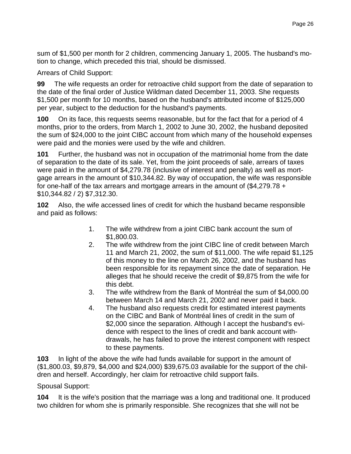sum of \$1,500 per month for 2 children, commencing January 1, 2005. The husband's motion to change, which preceded this trial, should be dismissed.

Arrears of Child Support:

**99** The wife requests an order for retroactive child support from the date of separation to the date of the final order of Justice Wildman dated December 11, 2003. She requests \$1,500 per month for 10 months, based on the husband's attributed income of \$125,000 per year, subject to the deduction for the husband's payments.

**100** On its face, this requests seems reasonable, but for the fact that for a period of 4 months, prior to the orders, from March 1, 2002 to June 30, 2002, the husband deposited the sum of \$24,000 to the joint CIBC account from which many of the household expenses were paid and the monies were used by the wife and children.

**101** Further, the husband was not in occupation of the matrimonial home from the date of separation to the date of its sale. Yet, from the joint proceeds of sale, arrears of taxes were paid in the amount of \$4,279.78 (inclusive of interest and penalty) as well as mortgage arrears in the amount of \$10,344.82. By way of occupation, the wife was responsible for one-half of the tax arrears and mortgage arrears in the amount of (\$4,279.78 + \$10,344.82 / 2) \$7,312.30.

**102** Also, the wife accessed lines of credit for which the husband became responsible and paid as follows:

- 1. The wife withdrew from a joint CIBC bank account the sum of \$1,800.03.
- 2. The wife withdrew from the joint CIBC line of credit between March 11 and March 21, 2002, the sum of \$11,000. The wife repaid \$1,125 of this money to the line on March 26, 2002, and the husband has been responsible for its repayment since the date of separation. He alleges that he should receive the credit of \$9,875 from the wife for this debt.
- 3. The wife withdrew from the Bank of Montréal the sum of \$4,000.00 between March 14 and March 21, 2002 and never paid it back.
- 4. The husband also requests credit for estimated interest payments on the CIBC and Bank of Montréal lines of credit in the sum of \$2,000 since the separation. Although I accept the husband's evidence with respect to the lines of credit and bank account withdrawals, he has failed to prove the interest component with respect to these payments.

**103** In light of the above the wife had funds available for support in the amount of (\$1,800.03, \$9,879, \$4,000 and \$24,000) \$39,675.03 available for the support of the children and herself. Accordingly, her claim for retroactive child support fails.

# Spousal Support:

**104** It is the wife's position that the marriage was a long and traditional one. It produced two children for whom she is primarily responsible. She recognizes that she will not be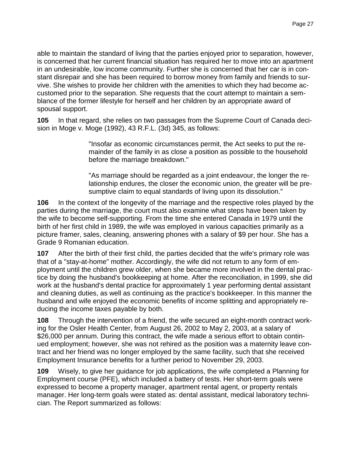able to maintain the standard of living that the parties enjoyed prior to separation, however, is concerned that her current financial situation has required her to move into an apartment in an undesirable, low income community. Further she is concerned that her car is in constant disrepair and she has been required to borrow money from family and friends to survive. She wishes to provide her children with the amenities to which they had become accustomed prior to the separation. She requests that the court attempt to maintain a semblance of the former lifestyle for herself and her children by an appropriate award of spousal support.

**105** In that regard, she relies on two passages from the Supreme Court of Canada decision in Moge v. Moge (1992), 43 R.F.L. (3d) 345, as follows:

> "Insofar as economic circumstances permit, the Act seeks to put the remainder of the family in as close a position as possible to the household before the marriage breakdown."

"As marriage should be regarded as a joint endeavour, the longer the relationship endures, the closer the economic union, the greater will be presumptive claim to equal standards of living upon its dissolution."

**106** In the context of the longevity of the marriage and the respective roles played by the parties during the marriage, the court must also examine what steps have been taken by the wife to become self-supporting. From the time she entered Canada in 1979 until the birth of her first child in 1989, the wife was employed in various capacities primarily as a picture framer, sales, cleaning, answering phones with a salary of \$9 per hour. She has a Grade 9 Romanian education.

**107** After the birth of their first child, the parties decided that the wife's primary role was that of a "stay-at-home" mother. Accordingly, the wife did not return to any form of employment until the children grew older, when she became more involved in the dental practice by doing the husband's bookkeeping at home. After the reconciliation, in 1999, she did work at the husband's dental practice for approximately 1 year performing dental assistant and cleaning duties, as well as continuing as the practice's bookkeeper. In this manner the husband and wife enjoyed the economic benefits of income splitting and appropriately reducing the income taxes payable by both.

**108** Through the intervention of a friend, the wife secured an eight-month contract working for the Osler Health Center, from August 26, 2002 to May 2, 2003, at a salary of \$26,000 per annum. During this contract, the wife made a serious effort to obtain continued employment; however, she was not rehired as the position was a maternity leave contract and her friend was no longer employed by the same facility, such that she received Employment Insurance benefits for a further period to November 29, 2003.

**109** Wisely, to give her guidance for job applications, the wife completed a Planning for Employment course (PFE), which included a battery of tests. Her short-term goals were expressed to become a property manager, apartment rental agent, or property rentals manager. Her long-term goals were stated as: dental assistant, medical laboratory technician. The Report summarized as follows: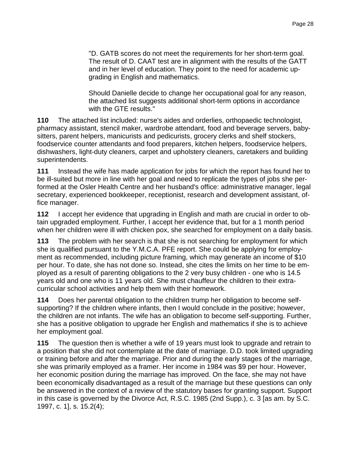"D. GATB scores do not meet the requirements for her short-term goal. The result of D. CAAT test are in alignment with the results of the GATT and in her level of education. They point to the need for academic upgrading in English and mathematics.

Should Danielle decide to change her occupational goal for any reason, the attached list suggests additional short-term options in accordance with the GTE results."

**110** The attached list included: nurse's aides and orderlies, orthopaedic technologist, pharmacy assistant, stencil maker, wardrobe attendant, food and beverage servers, babysitters, parent helpers, manicurists and pedicurists, grocery clerks and shelf stockers, foodservice counter attendants and food preparers, kitchen helpers, foodservice helpers, dishwashers, light-duty cleaners, carpet and upholstery cleaners, caretakers and building superintendents.

**111** Instead the wife has made application for jobs for which the report has found her to be ill-suited but more in line with her goal and need to replicate the types of jobs she performed at the Osler Health Centre and her husband's office: administrative manager, legal secretary, experienced bookkeeper, receptionist, research and development assistant, office manager.

**112** I accept her evidence that upgrading in English and math are crucial in order to obtain upgraded employment. Further, I accept her evidence that, but for a 1 month period when her children were ill with chicken pox, she searched for employment on a daily basis.

**113** The problem with her search is that she is not searching for employment for which she is qualified pursuant to the Y.M.C.A. PFE report. She could be applying for employment as recommended, including picture framing, which may generate an income of \$10 per hour. To date, she has not done so. Instead, she cites the limits on her time to be employed as a result of parenting obligations to the 2 very busy children - one who is 14.5 years old and one who is 11 years old. She must chauffeur the children to their extracurricular school activities and help them with their homework.

**114** Does her parental obligation to the children trump her obligation to become selfsupporting? If the children where infants, then I would conclude in the positive; however, the children are not infants. The wife has an obligation to become self-supporting. Further, she has a positive obligation to upgrade her English and mathematics if she is to achieve her employment goal.

**115** The question then is whether a wife of 19 years must look to upgrade and retrain to a position that she did not contemplate at the date of marriage. D.D. took limited upgrading or training before and after the marriage. Prior and during the early stages of the marriage, she was primarily employed as a framer. Her income in 1984 was \$9 per hour. However, her economic position during the marriage has improved. On the face, she may not have been economically disadvantaged as a result of the marriage but these questions can only be answered in the context of a review of the statutory bases for granting support. Support in this case is governed by the Divorce Act, R.S.C. 1985 (2nd Supp.), c. 3 [as am. by S.C. 1997, c. 1], s. 15.2(4);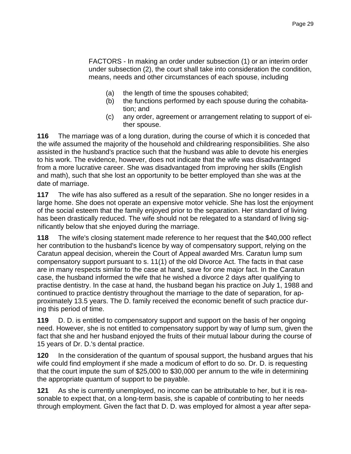FACTORS - In making an order under subsection (1) or an interim order under subsection (2), the court shall take into consideration the condition, means, needs and other circumstances of each spouse, including

- (a) the length of time the spouses cohabited;
- (b) the functions performed by each spouse during the cohabitation; and
- (c) any order, agreement or arrangement relating to support of either spouse.

**116** The marriage was of a long duration, during the course of which it is conceded that the wife assumed the majority of the household and childrearing responsibilities. She also assisted in the husband's practice such that the husband was able to devote his energies to his work. The evidence, however, does not indicate that the wife was disadvantaged from a more lucrative career. She was disadvantaged from improving her skills (English and math), such that she lost an opportunity to be better employed than she was at the date of marriage.

**117** The wife has also suffered as a result of the separation. She no longer resides in a large home. She does not operate an expensive motor vehicle. She has lost the enjoyment of the social esteem that the family enjoyed prior to the separation. Her standard of living has been drastically reduced. The wife should not be relegated to a standard of living significantly below that she enjoyed during the marriage.

**118** The wife's closing statement made reference to her request that the \$40,000 reflect her contribution to the husband's licence by way of compensatory support, relying on the Caratun appeal decision, wherein the Court of Appeal awarded Mrs. Caratun lump sum compensatory support pursuant to s. 11(1) of the old Divorce Act. The facts in that case are in many respects similar to the case at hand, save for one major fact. In the Caratun case, the husband informed the wife that he wished a divorce 2 days after qualifying to practise dentistry. In the case at hand, the husband began his practice on July 1, 1988 and continued to practice dentistry throughout the marriage to the date of separation, for approximately 13.5 years. The D. family received the economic benefit of such practice during this period of time.

**119** D. D. is entitled to compensatory support and support on the basis of her ongoing need. However, she is not entitled to compensatory support by way of lump sum, given the fact that she and her husband enjoyed the fruits of their mutual labour during the course of 15 years of Dr. D.'s dental practice.

**120** In the consideration of the quantum of spousal support, the husband argues that his wife could find employment if she made a modicum of effort to do so. Dr. D. is requesting that the court impute the sum of \$25,000 to \$30,000 per annum to the wife in determining the appropriate quantum of support to be payable.

**121** As she is currently unemployed, no income can be attributable to her, but it is reasonable to expect that, on a long-term basis, she is capable of contributing to her needs through employment. Given the fact that D. D. was employed for almost a year after sepa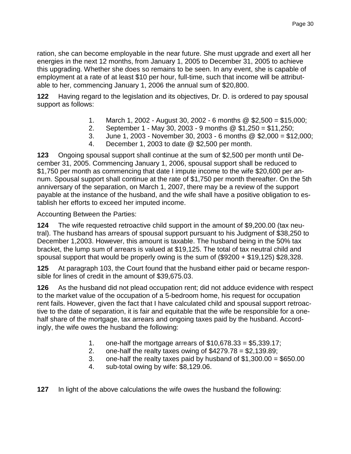ration, she can become employable in the near future. She must upgrade and exert all her energies in the next 12 months, from January 1, 2005 to December 31, 2005 to achieve this upgrading. Whether she does so remains to be seen. In any event, she is capable of employment at a rate of at least \$10 per hour, full-time, such that income will be attributable to her, commencing January 1, 2006 the annual sum of \$20,800.

**122** Having regard to the legislation and its objectives, Dr. D. is ordered to pay spousal support as follows:

- 1. March 1, 2002 August 30, 2002 6 months @ \$2,500 = \$15,000;
- 2. September 1 May 30, 2003 9 months @ \$1,250 = \$11,250;
- 3. June 1, 2003 November 30, 2003 6 months @ \$2,000 = \$12,000;
- 4. December 1, 2003 to date @ \$2,500 per month.

**123** Ongoing spousal support shall continue at the sum of \$2,500 per month until December 31, 2005. Commencing January 1, 2006, spousal support shall be reduced to \$1,750 per month as commencing that date I impute income to the wife \$20,600 per annum. Spousal support shall continue at the rate of \$1,750 per month thereafter. On the 5th anniversary of the separation, on March 1, 2007, there may be a review of the support payable at the instance of the husband, and the wife shall have a positive obligation to establish her efforts to exceed her imputed income.

Accounting Between the Parties:

**124** The wife requested retroactive child support in the amount of \$9,200.00 (tax neutral). The husband has arrears of spousal support pursuant to his Judgment of \$38,250 to December 1,2003. However, this amount is taxable. The husband being in the 50% tax bracket, the lump sum of arrears is valued at \$19,125. The total of tax neutral child and spousal support that would be properly owing is the sum of (\$9200 + \$19,125) \$28,328.

**125** At paragraph 103, the Court found that the husband either paid or became responsible for lines of credit in the amount of \$39,675.03.

**126** As the husband did not plead occupation rent; did not adduce evidence with respect to the market value of the occupation of a 5-bedroom home, his request for occupation rent fails. However, given the fact that I have calculated child and spousal support retroactive to the date of separation, it is fair and equitable that the wife be responsible for a onehalf share of the mortgage, tax arrears and ongoing taxes paid by the husband. Accordingly, the wife owes the husband the following:

- 1. one-half the mortgage arrears of  $$10,678.33 = $5,339.17;$
- 2. one-half the realty taxes owing of  $$4279.78 = $2,139.89$ ;
- 3. one-half the realty taxes paid by husband of \$1,300.00 = \$650.00
- 4. sub-total owing by wife: \$8,129.06.

**127** In light of the above calculations the wife owes the husband the following: